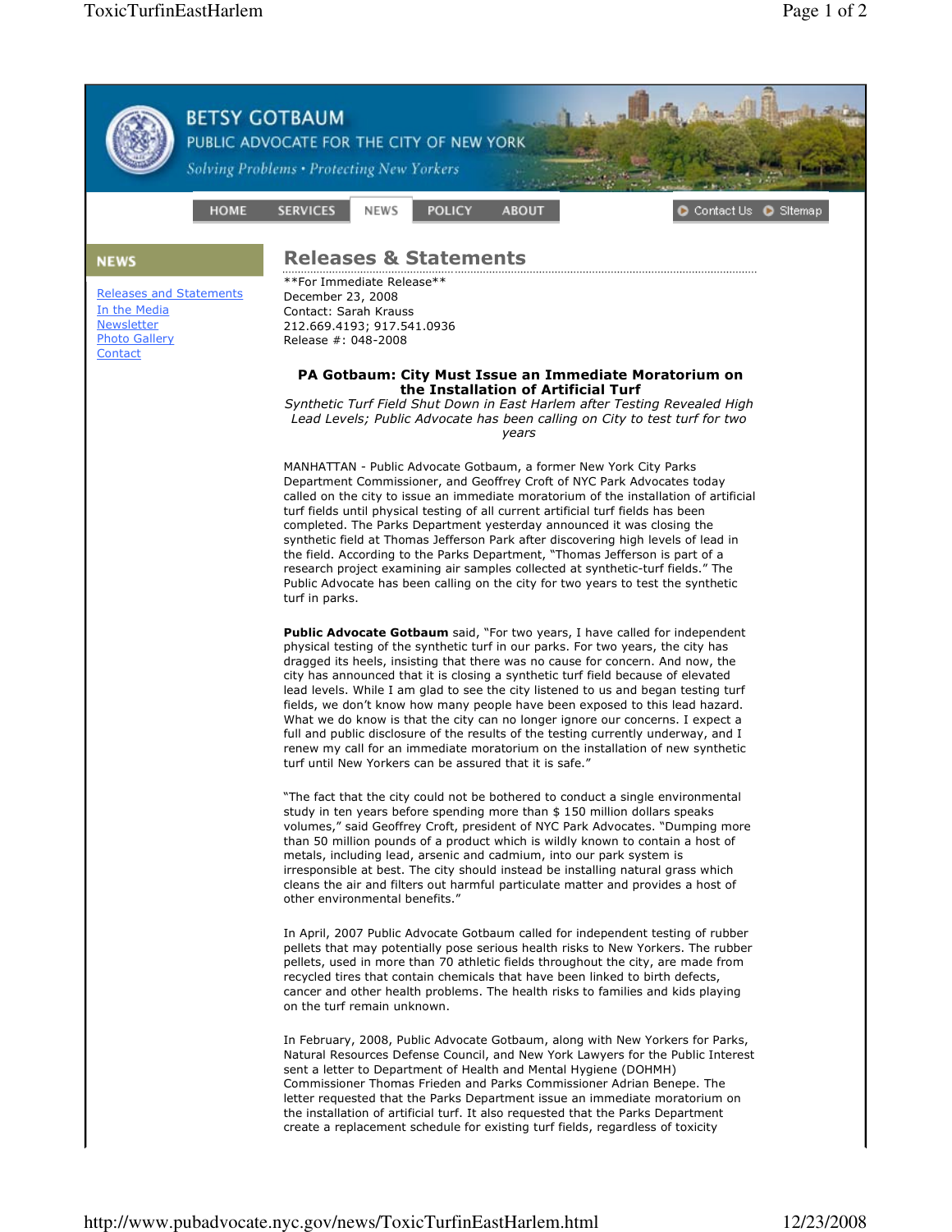